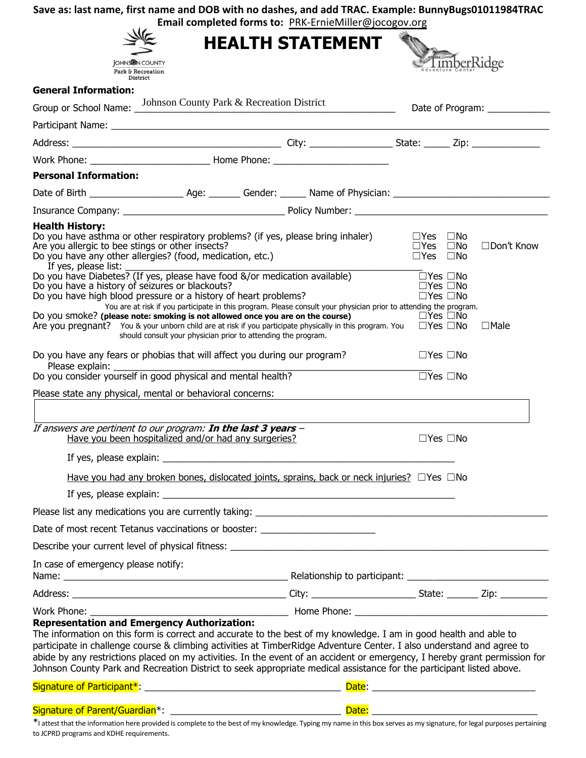## **Save as: last name, first name and DOB with no dashes, and add TRAC. Example: BunnyBugs01011984TRAC**

|            | Email completed forms to: PRK-ErnieMiller@jocogov.org |
|------------|-------------------------------------------------------|
| $\sqrt{2}$ |                                                       |

|                                                                                                                                                                 | <b>Email completed forms to:</b> PRK-ErnielVillier@Jocogov.org<br><b>HEALTH STATEMENT</b>                                                                                                                                                                                                                                                                                                                                                                                                        |                                                                      |                                |
|-----------------------------------------------------------------------------------------------------------------------------------------------------------------|--------------------------------------------------------------------------------------------------------------------------------------------------------------------------------------------------------------------------------------------------------------------------------------------------------------------------------------------------------------------------------------------------------------------------------------------------------------------------------------------------|----------------------------------------------------------------------|--------------------------------|
| <b>JOHNS IN COUNTY</b><br>Park & Recreation<br>District                                                                                                         |                                                                                                                                                                                                                                                                                                                                                                                                                                                                                                  |                                                                      | imberRidge                     |
| <b>General Information:</b>                                                                                                                                     |                                                                                                                                                                                                                                                                                                                                                                                                                                                                                                  |                                                                      |                                |
|                                                                                                                                                                 | Group or School Name: Johnson County Park & Recreation District                                                                                                                                                                                                                                                                                                                                                                                                                                  |                                                                      | Date of Program: _____________ |
|                                                                                                                                                                 | Participant Name: 1997 - 1998 - 1999 - 1999 - 1999 - 1999 - 1999 - 1999 - 1999 - 1999 - 1999 - 1999 - 1999 - 1                                                                                                                                                                                                                                                                                                                                                                                   |                                                                      |                                |
|                                                                                                                                                                 |                                                                                                                                                                                                                                                                                                                                                                                                                                                                                                  |                                                                      |                                |
|                                                                                                                                                                 |                                                                                                                                                                                                                                                                                                                                                                                                                                                                                                  |                                                                      |                                |
| <b>Personal Information:</b>                                                                                                                                    |                                                                                                                                                                                                                                                                                                                                                                                                                                                                                                  |                                                                      |                                |
|                                                                                                                                                                 |                                                                                                                                                                                                                                                                                                                                                                                                                                                                                                  |                                                                      |                                |
|                                                                                                                                                                 |                                                                                                                                                                                                                                                                                                                                                                                                                                                                                                  |                                                                      |                                |
| <b>Health History:</b><br>Are you allergic to bee stings or other insects?<br>Do you have any other allergies? (food, medication, etc.)<br>If yes, please list: | Do you have asthma or other respiratory problems? (if yes, please bring inhaler)                                                                                                                                                                                                                                                                                                                                                                                                                 | $\Box$ Yes $\Box$ No<br>$\Box$ Yes $\Box$ No<br>$\Box$ Yes $\Box$ No | □Don't Know                    |
| Do you have a history of seizures or blackouts?                                                                                                                 | Do you have Diabetes? (If yes, please have food &/or medication available)<br>Do you have high blood pressure or a history of heart problems?<br>You are at risk if you participate in this program. Please consult your physician prior to attending the program.                                                                                                                                                                                                                               | $\Box$ Yes $\Box$ No<br>$\Box$ Yes $\Box$ No<br>$\Box$ Yes $\Box$ No |                                |
|                                                                                                                                                                 | Do you smoke? (please note: smoking is not allowed once you are on the course)<br>Are you pregnant? You & your unborn child are at risk if you participate physically in this program. You $\Box$ Yes $\Box$ No<br>should consult your physician prior to attending the program.                                                                                                                                                                                                                 | $\Box$ Yes $\Box$ No                                                 | $\Box$ Male                    |
|                                                                                                                                                                 | Do you have any fears or phobias that will affect you during our program?                                                                                                                                                                                                                                                                                                                                                                                                                        | $\Box$ Yes $\Box$ No                                                 |                                |
|                                                                                                                                                                 |                                                                                                                                                                                                                                                                                                                                                                                                                                                                                                  | $\overline{\Box}$ Yes $\Box$ No                                      |                                |
| Please state any physical, mental or behavioral concerns:                                                                                                       |                                                                                                                                                                                                                                                                                                                                                                                                                                                                                                  |                                                                      |                                |
|                                                                                                                                                                 | If answers are pertinent to our program: In the last 3 years -<br>Have you been hospitalized and/or had any surgeries?                                                                                                                                                                                                                                                                                                                                                                           | $\Box$ Yes $\Box$ No                                                 |                                |
| If yes, please explain:                                                                                                                                         | <u> 1980 - Jan James James Barnett, fransk politik (d. 1980)</u>                                                                                                                                                                                                                                                                                                                                                                                                                                 |                                                                      |                                |
|                                                                                                                                                                 | Have you had any broken bones, dislocated joints, sprains, back or neck injuries? OYes ONo                                                                                                                                                                                                                                                                                                                                                                                                       |                                                                      |                                |
|                                                                                                                                                                 |                                                                                                                                                                                                                                                                                                                                                                                                                                                                                                  |                                                                      |                                |
|                                                                                                                                                                 |                                                                                                                                                                                                                                                                                                                                                                                                                                                                                                  |                                                                      |                                |
|                                                                                                                                                                 | Date of most recent Tetanus vaccinations or booster: ___________________________                                                                                                                                                                                                                                                                                                                                                                                                                 |                                                                      |                                |
|                                                                                                                                                                 | Describe your current level of physical fitness: Description of the control of the control of the control of the control of the control of the control of the control of the control of the control of the control of the cont                                                                                                                                                                                                                                                                   |                                                                      |                                |
| In case of emergency please notify:                                                                                                                             |                                                                                                                                                                                                                                                                                                                                                                                                                                                                                                  |                                                                      |                                |
|                                                                                                                                                                 |                                                                                                                                                                                                                                                                                                                                                                                                                                                                                                  |                                                                      |                                |
|                                                                                                                                                                 |                                                                                                                                                                                                                                                                                                                                                                                                                                                                                                  |                                                                      |                                |
| <b>Representation and Emergency Authorization:</b>                                                                                                              | The information on this form is correct and accurate to the best of my knowledge. I am in good health and able to<br>participate in challenge course & climbing activities at TimberRidge Adventure Center. I also understand and agree to<br>abide by any restrictions placed on my activities. In the event of an accident or emergency, I hereby grant permission for<br>Johnson County Park and Recreation District to seek appropriate medical assistance for the participant listed above. |                                                                      |                                |
|                                                                                                                                                                 |                                                                                                                                                                                                                                                                                                                                                                                                                                                                                                  |                                                                      |                                |
|                                                                                                                                                                 |                                                                                                                                                                                                                                                                                                                                                                                                                                                                                                  |                                                                      |                                |

\*I attest that the information here provided is complete to the best of my knowledge. Typing my name in this box serves as my signature, for legal purposes pertaining to JCPRD programs and KDHE requirements.